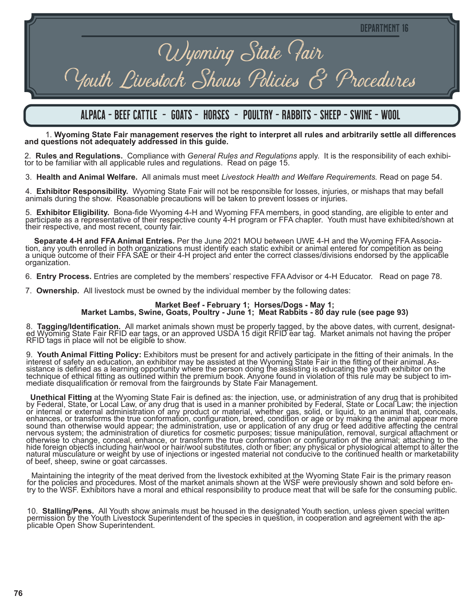# Wyoming State Fair Youth Livestock Shows Policies & Procedures

## alpaca - BEEF CATTLE - GOATS - HORSES - POULTRY - RABBITS - SHEEP - SWINE - WOOL

1. **Wyoming State Fair management reserves the right to interpret all rules and arbitrarily settle all differences and questions not adequately addressed in this guide.**

2. **Rules and Regulations.** Compliance with *General Rules and Regulations* apply. It is the responsibility of each exhibi- tor to be familiar with all applicable rules and regulations. Read on page 15.

3. **Health and Animal Welfare.** All animals must meet *Livestock Health and Welfare Requirements.* Read on page 54.

4. **Exhibitor Responsibility.** Wyoming State Fair will not be responsible for losses, injuries, or mishaps that may befall animals during the show. Reasonable precautions will be taken to prevent losses or injuries.

5. Exhibitor Eligibility. Bona-fide Wyoming 4-H and Wyoming FFA members, in good standing, are eligible to enter and participate as a representative of their respective county 4-H program or FFA chapter. Youth must have ex

Separate 4-H and FFA Animal Entries. Per the June 2021 MOU between UWE 4-H and the Wyoming FFA Association, any youth enrolled in both organizations must identify each static exhibit or animal entered for competition as be a unique outcome of their FFA SAE or their 4-H project and enter the correct classes/divisions endorsed by the applicable organization.

6. **Entry Process.** Entries are completed by the members' respective FFA Advisor or 4-H Educator. Read on page 78.

7. **Ownership.** All livestock must be owned by the individual member by the following dates:

# **Market Beef - February 1; Horses/Dogs - May 1; Market Lambs, Swine, Goats, Poultry - June 1; Meat Rabbits - 80 day rule (see page 93)**

8. Tagging/Identification. All market animals shown must be properly tagged, by the above dates, with current, designated Wyoming State Fair RFID ear tags, or an approved USDA 15 digit RFID ear tag. Market animals not havi RFID tags in place will not be eligible to show.

9. Youth Animal Fitting Policy: Exhibitors must be present for and actively participate in the fitting of their animals. In the interest of safety an education, an exhibitor may be assisted at the Wyoming State Fair in the technique of ethical fitting as outlined within the premium book. Anyone found in violation of this rule may be subject to im-<br>mediate disqualification or removal from the fairgrounds by State Fair Management.

**Unethical Fitting** at the Wyoming State Fair is defined as: the injection, use, or administration of any drug that is prohibited<br>by Federal, State, or Local Law, or any drug that is used in a manner prohibited by Federal, or internal or external administration of any product or material, whether gas, solid, or liquid, to an animal that, conceals, enhances, or transforms the true conformation, configuration, breed, condition or age or by making the animal appear more sound than otherwise would appear; the administration, use or application of any drug or feed additive affecting the central nervous system; the administration of diuretics for cosmetic purposes; tissue manipulation, removal, surgical attachment or otherwise to change, conceal, enhance, or transform the true conformation or configuration of the animal; attaching to the hide foreign objects including hair/wool or hair/wool substitutes, cloth or fiber; any physical or physiological attempt to alter the natural musculature or weight by use of injections or ingested material not conducive to the continued health or marketability of beef, sheep, swine or goat carcasses.

 Maintaining the integrity of the meat derived from the livestock exhibited at the Wyoming State Fair is the primary reason for the policies and procedures. Most of the market animals shown at the WSF were previously shown and sold before en-<br>try to the WSF. Exhibitors have a moral and ethical responsibility to produce meat that will be safe fo

10. Stalling/Pens. All Youth show animals must be housed in the designated Youth section, unless given special written permission by the Youth Livestock Superintendent of the species in question, in cooperation and agreeme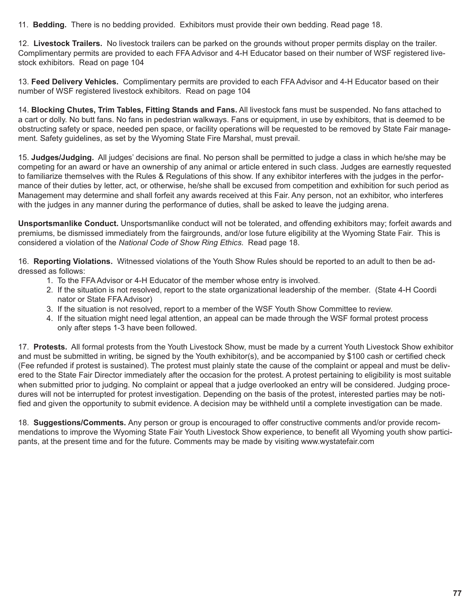11. **Bedding.** There is no bedding provided. Exhibitors must provide their own bedding. Read page 18.

12. **Livestock Trailers.** No livestock trailers can be parked on the grounds without proper permits display on the trailer. Complimentary permits are provided to each FFA Advisor and 4-H Educator based on their number of WSF registered livestock exhibitors. Read on page 104

13. **Feed Delivery Vehicles.** Complimentary permits are provided to each FFA Advisor and 4-H Educator based on their number of WSF registered livestock exhibitors. Read on page 104

14. **Blocking Chutes, Trim Tables, Fitting Stands and Fans.** All livestock fans must be suspended. No fans attached to a cart or dolly. No butt fans. No fans in pedestrian walkways. Fans or equipment, in use by exhibitors, that is deemed to be obstructing safety or space, needed pen space, or facility operations will be requested to be removed by State Fair management. Safety guidelines, as set by the Wyoming State Fire Marshal, must prevail.

15. **Judges/Judging.** All judges' decisions are final. No person shall be permitted to judge a class in which he/she may be competing for an award or have an ownership of any animal or article entered in such class. Judges are earnestly requested to familiarize themselves with the Rules & Regulations of this show. If any exhibitor interferes with the judges in the performance of their duties by letter, act, or otherwise, he/she shall be excused from competition and exhibition for such period as Management may determine and shall forfeit any awards received at this Fair. Any person, not an exhibitor, who interferes with the judges in any manner during the performance of duties, shall be asked to leave the judging arena.

**Unsportsmanlike Conduct.** Unsportsmanlike conduct will not be tolerated, and offending exhibitors may; forfeit awards and premiums, be dismissed immediately from the fairgrounds, and/or lose future eligibility at the Wyoming State Fair. This is considered a violation of the *National Code of Show Ring Ethics*. Read page 18.

16. **Reporting Violations.** Witnessed violations of the Youth Show Rules should be reported to an adult to then be addressed as follows:

- 1. To the FFA Advisor or 4-H Educator of the member whose entry is involved.
- 2. If the situation is not resolved, report to the state organizational leadership of the member. (State 4-H Coordi nator or State FFA Advisor)
- 3. If the situation is not resolved, report to a member of the WSF Youth Show Committee to review.
- 4. If the situation might need legal attention, an appeal can be made through the WSF formal protest process only after steps 1-3 have been followed.

17. **Protests.** All formal protests from the Youth Livestock Show, must be made by a current Youth Livestock Show exhibitor and must be submitted in writing, be signed by the Youth exhibitor(s), and be accompanied by \$100 cash or certified check (Fee refunded if protest is sustained). The protest must plainly state the cause of the complaint or appeal and must be delivered to the State Fair Director immediately after the occasion for the protest. A protest pertaining to eligibility is most suitable when submitted prior to judging. No complaint or appeal that a judge overlooked an entry will be considered. Judging procedures will not be interrupted for protest investigation. Depending on the basis of the protest, interested parties may be notified and given the opportunity to submit evidence. A decision may be withheld until a complete investigation can be made.

18. **Suggestions/Comments.** Any person or group is encouraged to offer constructive comments and/or provide recommendations to improve the Wyoming State Fair Youth Livestock Show experience, to benefit all Wyoming youth show participants, at the present time and for the future. Comments may be made by visiting www.wystatefair.com